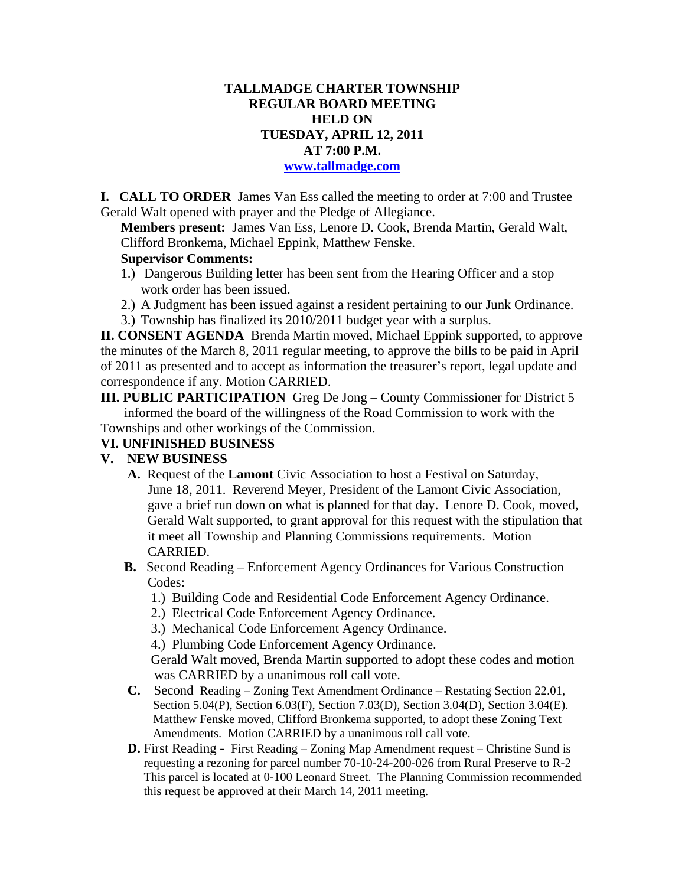## **TALLMADGE CHARTER TOWNSHIP REGULAR BOARD MEETING HELD ON TUESDAY, APRIL 12, 2011 AT 7:00 P.M.**

#### **www.tallmadge.com**

**I. CALL TO ORDER** James Van Ess called the meeting to order at 7:00 and Trustee Gerald Walt opened with prayer and the Pledge of Allegiance.

**Members present:** James Van Ess, Lenore D. Cook, Brenda Martin, Gerald Walt, Clifford Bronkema, Michael Eppink, Matthew Fenske.

#### **Supervisor Comments:**

- 1.) Dangerous Building letter has been sent from the Hearing Officer and a stop work order has been issued.
- 2.) A Judgment has been issued against a resident pertaining to our Junk Ordinance.
- 3.) Township has finalized its 2010/2011 budget year with a surplus.

**II. CONSENT AGENDA** Brenda Martin moved, Michael Eppink supported, to approve the minutes of the March 8, 2011 regular meeting, to approve the bills to be paid in April of 2011 as presented and to accept as information the treasurer's report, legal update and correspondence if any. Motion CARRIED.

**III. PUBLIC PARTICIPATION** Greg De Jong – County Commissioner for District 5 informed the board of the willingness of the Road Commission to work with the Townships and other workings of the Commission.

#### **VI. UNFINISHED BUSINESS**

### **V. NEW BUSINESS**

- **A.** Request of the **Lamont** Civic Association to host a Festival on Saturday, June 18, 2011. Reverend Meyer, President of the Lamont Civic Association, gave a brief run down on what is planned for that day. Lenore D. Cook, moved, Gerald Walt supported, to grant approval for this request with the stipulation that it meet all Township and Planning Commissions requirements. Motion CARRIED.
- **B.** Second Reading Enforcement Agency Ordinances for Various Construction Codes:
	- 1.) Building Code and Residential Code Enforcement Agency Ordinance.
	- 2.) Electrical Code Enforcement Agency Ordinance.
	- 3.) Mechanical Code Enforcement Agency Ordinance.

4.) Plumbing Code Enforcement Agency Ordinance.

Gerald Walt moved, Brenda Martin supported to adopt these codes and motion was CARRIED by a unanimous roll call vote.

- **C.** Second Reading Zoning Text Amendment Ordinance Restating Section 22.01, Section 5.04(P), Section 6.03(F), Section 7.03(D), Section 3.04(D), Section 3.04(E). Matthew Fenske moved, Clifford Bronkema supported, to adopt these Zoning Text Amendments. Motion CARRIED by a unanimous roll call vote.
- **D.** First Reading -First Reading Zoning Map Amendment request Christine Sund is requesting a rezoning for parcel number 70-10-24-200-026 from Rural Preserve to R-2 This parcel is located at 0-100 Leonard Street. The Planning Commission recommended this request be approved at their March 14, 2011 meeting.